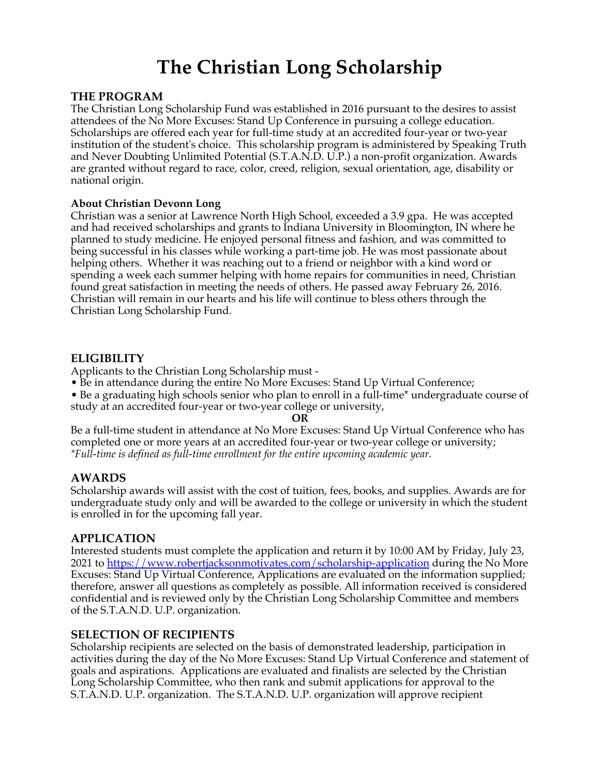# **The Christian Long Scholarship**

#### **THE PROGRAM**

The Christian Long Scholarship Fund was established in 2016 pursuant to the desires to assist attendees of the No More Excuses: Stand Up Conference in pursuing a college education. Scholarships are offered each year for full-time study at an accredited four-year or two-year institution of the student's choice. This scholarship program is administered by Speaking Truth and Never Doubting Unlimited Potential (S.T.A.N.D. U.P.) a non-profit organization. Awards are granted without regard to race, color, creed, religion, sexual orientation, age, disability or national origin.

#### **About Christian Devonn Long**

Christian was a senior at Lawrence North High School, exceeded a 3.9 gpa. He was accepted and had received scholarships and grants to Indiana University in Bloomington, IN where he planned to study medicine. He enjoyed personal fitness and fashion, and was committed to being successful in his classes while working a part-time job. He was most passionate about helping others. Whether it was reaching out to a friend or neighbor with a kind word or spending a week each summer helping with home repairs for communities in need, Christian found great satisfaction in meeting the needs of others. He passed away February 26, 2016. Christian will remain in our hearts and his life will continue to bless others through the Christian Long Scholarship Fund.

#### **ELIGIBILITY**

Applicants to the Christian Long Scholarship must -

- Be in attendance during the entire No More Excuses: Stand Up Virtual Conference;
- Be a graduating high schools senior who plan to enroll in a full-time\* undergraduate course of study at an accredited four-year or two-year college or university,

**OR**

Be a full-time student in attendance at No More Excuses: Stand Up Virtual Conference who has completed one or more years at an accredited four-year or two-year college or university; *\*Full-time is defined as full-time enrollment for the entire upcoming academic year.*

# **AWARDS**

Scholarship awards will assist with the cost of tuition, fees, books, and supplies. Awards are for undergraduate study only and will be awarded to the college or university in which the student is enrolled in for the upcoming fall year.

# **APPLICATION**

Interested students must complete the application and return it by 10:00 AM by Friday, July 23, 2021 to https://www.robertjacksonmotivates.com/scholarship-application during the No More Excuses: Stand Up Virtual Conference, Applications are evaluated on the information supplied; therefore, answer all questions as completely as possible. All information received is considered confidential and is reviewed only by the Christian Long Scholarship Committee and members of the S.T.A.N.D. U.P. organization.

#### **SELECTION OF RECIPIENTS**

Scholarship recipients are selected on the basis of demonstrated leadership, participation in activities during the day of the No More Excuses: Stand Up Virtual Conference and statement of goals and aspirations. Applications are evaluated and finalists are selected by the Christian Long Scholarship Committee, who then rank and submit applications for approval to the S.T.A.N.D. U.P. organization. The S.T.A.N.D. U.P. organization will approve recipient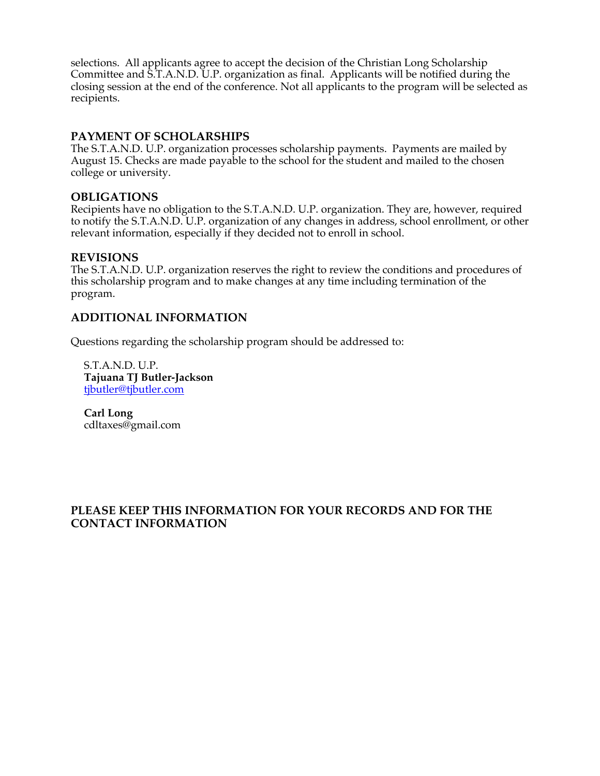selections. All applicants agree to accept the decision of the Christian Long Scholarship Committee and S.T.A.N.D. U.P. organization as final. Applicants will be notified during the closing session at the end of the conference. Not all applicants to the program will be selected as recipients.

#### **PAYMENT OF SCHOLARSHIPS**

The S.T.A.N.D. U.P. organization processes scholarship payments. Payments are mailed by August 15. Checks are made payable to the school for the student and mailed to the chosen college or university.

#### **OBLIGATIONS**

Recipients have no obligation to the S.T.A.N.D. U.P. organization. They are, however, required to notify the S.T.A.N.D. U.P. organization of any changes in address, school enrollment, or other relevant information, especially if they decided not to enroll in school.

#### **REVISIONS**

The S.T.A.N.D. U.P. organization reserves the right to review the conditions and procedures of this scholarship program and to make changes at any time including termination of the program.

#### **ADDITIONAL INFORMATION**

Questions regarding the scholarship program should be addressed to:

S.T.A.N.D. U.P. **Tajuana TJ Butler-Jackson** tjbutler@tjbutler.com

**Carl Long** cdltaxes@gmail.com

#### **PLEASE KEEP THIS INFORMATION FOR YOUR RECORDS AND FOR THE CONTACT INFORMATION**